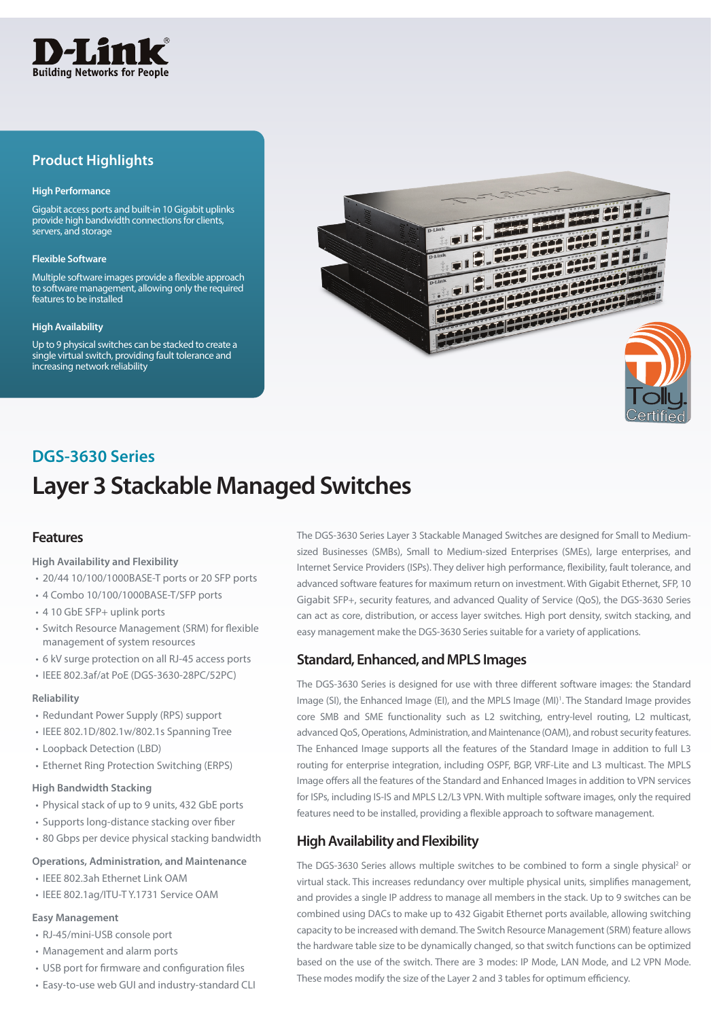

## **Product Highlights**

#### **High Performance**

Gigabit access ports and built-in 10 Gigabit uplinks provide high bandwidth connections for clients, servers, and storage

#### **Flexible Software**

Multiple software images provide a flexible approach to software management, allowing only the required features to be installed

#### **High Availability**

Up to 9 physical switches can be stacked to create a single virtual switch, providing fault tolerance and increasing network reliability



## **DGS-3630 Series**

## **Layer 3 Stackable Managed Switches**

### **Features**

#### **High Availability and Flexibility**

- 20/44 10/100/1000BASE-T ports or 20 SFP ports
- 4 Combo 10/100/1000BASE-T/SFP ports
- 4 10 GbE SFP+ uplink ports
- Switch Resource Management (SRM) for flexible management of system resources
- 6 kV surge protection on all RJ-45 access ports
- IEEE 802.3af/at PoE (DGS-3630-28PC/52PC)

#### **Reliability**

- Redundant Power Supply (RPS) support
- IEEE 802.1D/802.1w/802.1s Spanning Tree
- Loopback Detection (LBD)
- Ethernet Ring Protection Switching (ERPS)

#### **High Bandwidth Stacking**

- Physical stack of up to 9 units, 432 GbE ports
- Supports long-distance stacking over fiber
- 80 Gbps per device physical stacking bandwidth

#### **Operations, Administration, and Maintenance**

- IEEE 802.3ah Ethernet Link OAM
- IEEE 802.1ag/ITU-T Y.1731 Service OAM

#### **Easy Management**

- RJ-45/mini-USB console port
- Management and alarm ports
- USB port for firmware and configuration files
- Easy-to-use web GUI and industry-standard CLI

The DGS-3630 Series Layer 3 Stackable Managed Switches are designed for Small to Mediumsized Businesses (SMBs), Small to Medium-sized Enterprises (SMEs), large enterprises, and Internet Service Providers (ISPs). They deliver high performance, flexibility, fault tolerance, and advanced software features for maximum return on investment. With Gigabit Ethernet, SFP, 10 Gigabit SFP+, security features, and advanced Quality of Service (QoS), the DGS-3630 Series can act as core, distribution, or access layer switches. High port density, switch stacking, and easy management make the DGS-3630 Series suitable for a variety of applications.

### **Standard, Enhanced, and MPLS Images**

The DGS-3630 Series is designed for use with three different software images: the Standard Image (SI), the Enhanced Image (EI), and the MPLS Image (MI)<sup>1</sup>. The Standard Image provides core SMB and SME functionality such as L2 switching, entry-level routing, L2 multicast, advanced QoS, Operations, Administration, and Maintenance (OAM), and robust security features. The Enhanced Image supports all the features of the Standard Image in addition to full L3 routing for enterprise integration, including OSPF, BGP, VRF-Lite and L3 multicast. The MPLS Image offers all the features of the Standard and Enhanced Images in addition to VPN services for ISPs, including IS-IS and MPLS L2/L3 VPN. With multiple software images, only the required features need to be installed, providing a flexible approach to software management.

### **High Availability and Flexibility**

The DGS-3630 Series allows multiple switches to be combined to form a single physical<sup>2</sup> or virtual stack. This increases redundancy over multiple physical units, simplifies management, and provides a single IP address to manage all members in the stack. Up to 9 switches can be combined using DACs to make up to 432 Gigabit Ethernet ports available, allowing switching capacity to be increased with demand. The Switch Resource Management (SRM) feature allows the hardware table size to be dynamically changed, so that switch functions can be optimized based on the use of the switch. There are 3 modes: IP Mode, LAN Mode, and L2 VPN Mode. These modes modify the size of the Layer 2 and 3 tables for optimum efficiency.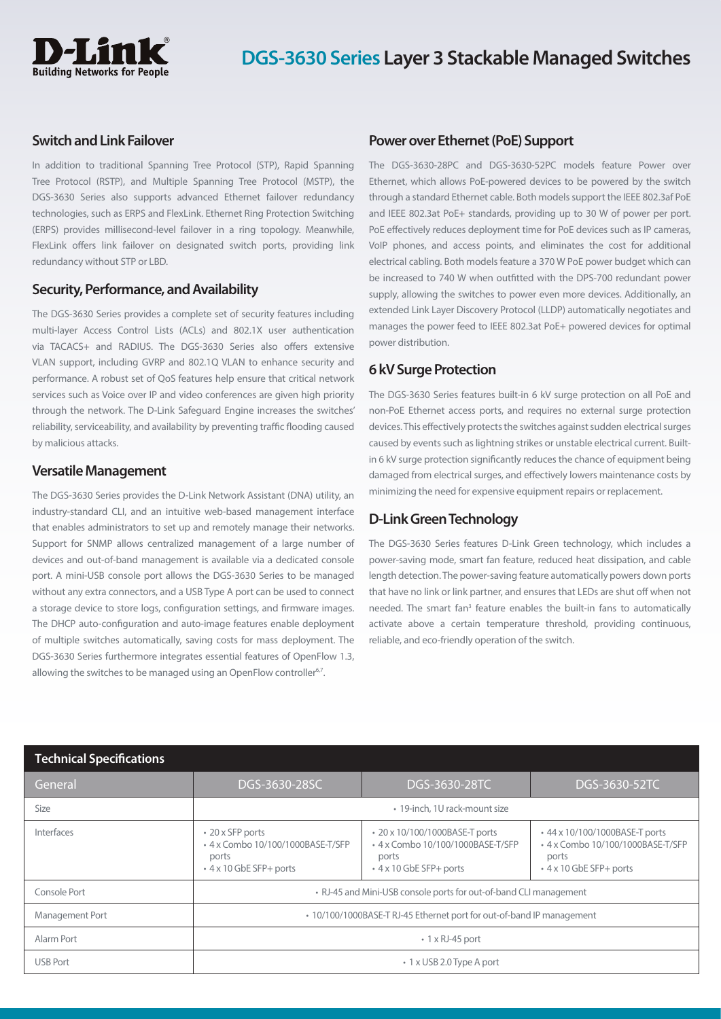

#### **Switch and Link Failover**

In addition to traditional Spanning Tree Protocol (STP), Rapid Spanning Tree Protocol (RSTP), and Multiple Spanning Tree Protocol (MSTP), the DGS-3630 Series also supports advanced Ethernet failover redundancy technologies, such as ERPS and FlexLink. Ethernet Ring Protection Switching (ERPS) provides millisecond-level failover in a ring topology. Meanwhile, FlexLink offers link failover on designated switch ports, providing link redundancy without STP or LBD.

### **Security, Performance, and Availability**

The DGS-3630 Series provides a complete set of security features including multi-layer Access Control Lists (ACLs) and 802.1X user authentication via TACACS+ and RADIUS. The DGS-3630 Series also offers extensive VLAN support, including GVRP and 802.1Q VLAN to enhance security and performance. A robust set of QoS features help ensure that critical network services such as Voice over IP and video conferences are given high priority through the network. The D-Link Safeguard Engine increases the switches' reliability, serviceability, and availability by preventing traffic flooding caused by malicious attacks.

### **Versatile Management**

The DGS-3630 Series provides the D-Link Network Assistant (DNA) utility, an industry-standard CLI, and an intuitive web-based management interface that enables administrators to set up and remotely manage their networks. Support for SNMP allows centralized management of a large number of devices and out-of-band management is available via a dedicated console port. A mini-USB console port allows the DGS-3630 Series to be managed without any extra connectors, and a USB Type A port can be used to connect a storage device to store logs, configuration settings, and firmware images. The DHCP auto-configuration and auto-image features enable deployment of multiple switches automatically, saving costs for mass deployment. The DGS-3630 Series furthermore integrates essential features of OpenFlow 1.3, allowing the switches to be managed using an OpenFlow controller<sup>6,7</sup>.

#### **Power over Ethernet (PoE) Support**

The DGS-3630-28PC and DGS-3630-52PC models feature Power over Ethernet, which allows PoE-powered devices to be powered by the switch through a standard Ethernet cable. Both models support the IEEE 802.3af PoE and IEEE 802.3at PoE+ standards, providing up to 30 W of power per port. PoE effectively reduces deployment time for PoE devices such as IP cameras, VoIP phones, and access points, and eliminates the cost for additional electrical cabling. Both models feature a 370 W PoE power budget which can be increased to 740 W when outfitted with the DPS-700 redundant power supply, allowing the switches to power even more devices. Additionally, an extended Link Layer Discovery Protocol (LLDP) automatically negotiates and manages the power feed to IEEE 802.3at PoE+ powered devices for optimal power distribution.

### **6 kV Surge Protection**

The DGS-3630 Series features built-in 6 kV surge protection on all PoE and non-PoE Ethernet access ports, and requires no external surge protection devices. This effectively protects the switches against sudden electrical surges caused by events such as lightning strikes or unstable electrical current. Builtin 6 kV surge protection significantly reduces the chance of equipment being damaged from electrical surges, and effectively lowers maintenance costs by minimizing the need for expensive equipment repairs or replacement.

### **D-Link Green Technology**

The DGS-3630 Series features D-Link Green technology, which includes a power-saving mode, smart fan feature, reduced heat dissipation, and cable length detection. The power-saving feature automatically powers down ports that have no link or link partner, and ensures that LEDs are shut off when not needed. The smart fan<sup>3</sup> feature enables the built-in fans to automatically activate above a certain temperature threshold, providing continuous, reliable, and eco-friendly operation of the switch.

| <b>Technical Specifications</b> |                                                                                           |                                                                                                        |                                                                                                        |
|---------------------------------|-------------------------------------------------------------------------------------------|--------------------------------------------------------------------------------------------------------|--------------------------------------------------------------------------------------------------------|
| General                         | DGS-3630-28SC                                                                             | DGS-3630-28TC                                                                                          | DGS-3630-52TC                                                                                          |
| Size                            | • 19-inch, 1U rack-mount size                                                             |                                                                                                        |                                                                                                        |
| Interfaces                      | • 20 x SFP ports<br>• 4 x Combo 10/100/1000BASE-T/SFP<br>ports<br>+ 4 x 10 GbE SFP+ ports | • 20 x 10/100/1000BASE-T ports<br>• 4 x Combo 10/100/1000BASE-T/SFP<br>ports<br>+4 x 10 GbE SFP+ ports | • 44 x 10/100/1000BASE-T ports<br>• 4 x Combo 10/100/1000BASE-T/SFP<br>ports<br>+4 x 10 GbE SFP+ ports |
| Console Port                    | • RJ-45 and Mini-USB console ports for out-of-band CLI management                         |                                                                                                        |                                                                                                        |
| Management Port                 | • 10/100/1000BASE-T RJ-45 Ethernet port for out-of-band IP management                     |                                                                                                        |                                                                                                        |
| Alarm Port                      | $\cdot$ 1 x RJ-45 port                                                                    |                                                                                                        |                                                                                                        |
| <b>USB Port</b>                 |                                                                                           | • 1 x USB 2.0 Type A port                                                                              |                                                                                                        |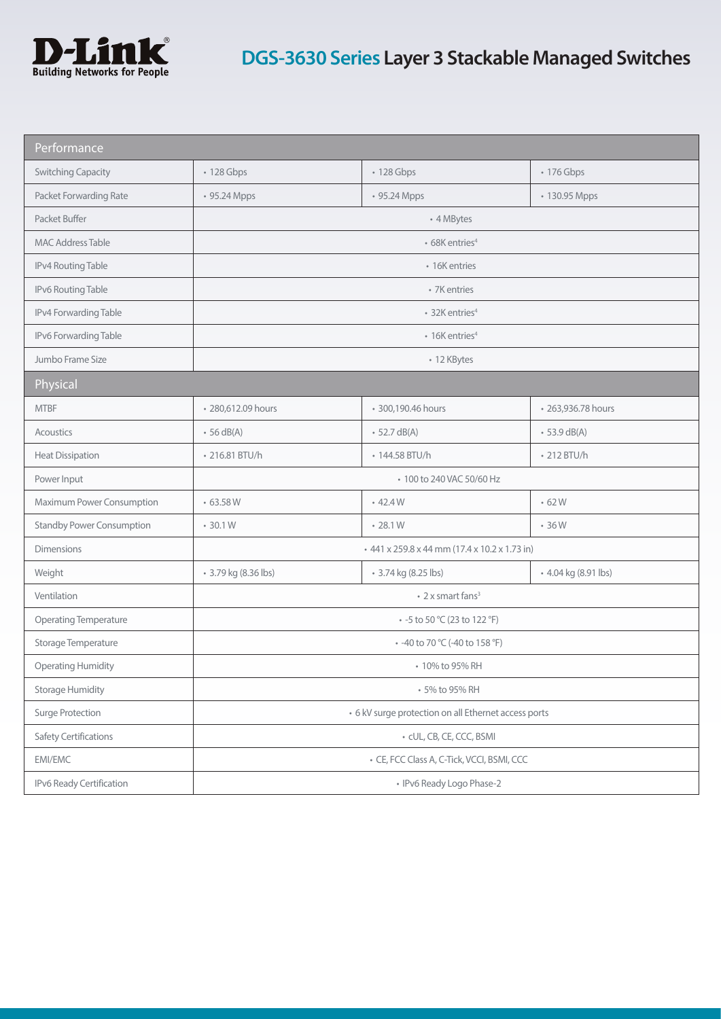

| Performance                      |                                                      |                                               |                      |
|----------------------------------|------------------------------------------------------|-----------------------------------------------|----------------------|
| <b>Switching Capacity</b>        | • 128 Gbps                                           | • 128 Gbps                                    | • 176 Gbps           |
| Packet Forwarding Rate           | • 95.24 Mpps                                         | • 95.24 Mpps                                  | • 130.95 Mpps        |
| Packet Buffer                    |                                                      | • 4 MBytes                                    |                      |
| <b>MAC Address Table</b>         |                                                      | • 68K entries <sup>4</sup>                    |                      |
| IPv4 Routing Table               |                                                      | • 16K entries                                 |                      |
| IPv6 Routing Table               |                                                      | • 7K entries                                  |                      |
| IPv4 Forwarding Table            |                                                      | • 32K entries <sup>4</sup>                    |                      |
| IPv6 Forwarding Table            |                                                      | $\cdot$ 16K entries <sup>4</sup>              |                      |
| Jumbo Frame Size                 |                                                      | • 12 KBytes                                   |                      |
| Physical                         |                                                      |                                               |                      |
| <b>MTBF</b>                      | · 280,612.09 hours                                   | · 300,190.46 hours                            | • 263,936.78 hours   |
| Acoustics                        | $\cdot$ 56 dB(A)                                     | $-52.7 \text{ dB}(A)$                         | $-53.9$ dB(A)        |
| <b>Heat Dissipation</b>          | • 216.81 BTU/h                                       | • 144.58 BTU/h                                | • 212 BTU/h          |
| Power Input                      |                                                      | • 100 to 240 VAC 50/60 Hz                     |                      |
| Maximum Power Consumption        | •63.58W                                              | $-42.4W$                                      | $-62W$               |
| <b>Standby Power Consumption</b> | $-30.1W$                                             | $-28.1W$                                      | $-36W$               |
| <b>Dimensions</b>                |                                                      | + 441 x 259.8 x 44 mm (17.4 x 10.2 x 1.73 in) |                      |
| Weight                           | • 3.79 kg (8.36 lbs)                                 | • 3.74 kg (8.25 lbs)                          | • 4.04 kg (8.91 lbs) |
| Ventilation                      | $\cdot$ 2 x smart fans <sup>3</sup>                  |                                               |                      |
| <b>Operating Temperature</b>     | • -5 to 50 °C (23 to 122 °F)                         |                                               |                      |
| Storage Temperature              | • -40 to 70 °C (-40 to 158 °F)                       |                                               |                      |
| <b>Operating Humidity</b>        | • 10% to 95% RH                                      |                                               |                      |
| <b>Storage Humidity</b>          | • 5% to 95% RH                                       |                                               |                      |
| Surge Protection                 | • 6 kV surge protection on all Ethernet access ports |                                               |                      |
| <b>Safety Certifications</b>     | · cUL, CB, CE, CCC, BSMI                             |                                               |                      |
| EMI/EMC                          | • CE, FCC Class A, C-Tick, VCCI, BSMI, CCC           |                                               |                      |
| IPv6 Ready Certification         | • IPv6 Ready Logo Phase-2                            |                                               |                      |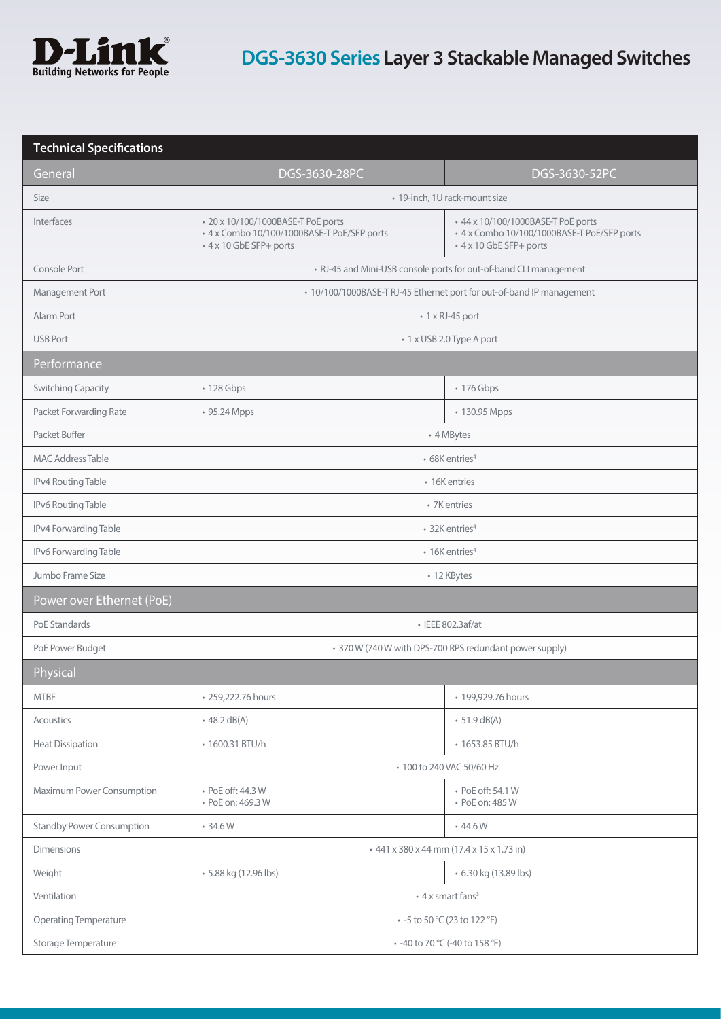

| <b>Technical Specifications</b>  |                                                                                                              |                                                                                                             |
|----------------------------------|--------------------------------------------------------------------------------------------------------------|-------------------------------------------------------------------------------------------------------------|
| General                          | DGS-3630-28PC                                                                                                | DGS-3630-52PC                                                                                               |
| Size                             |                                                                                                              | • 19-inch, 1U rack-mount size                                                                               |
| Interfaces                       | • 20 x 10/100/1000BASE-T PoE ports<br>• 4 x Combo 10/100/1000BASE-T PoE/SFP ports<br>+ 4 x 10 GbE SFP+ ports | +44 x 10/100/1000BASE-T PoE ports<br>+ 4 x Combo 10/100/1000BASE-T PoE/SFP ports<br>• 4 x 10 GbE SFP+ ports |
| Console Port                     |                                                                                                              | • RJ-45 and Mini-USB console ports for out-of-band CLI management                                           |
| Management Port                  |                                                                                                              | • 10/100/1000BASE-T RJ-45 Ethernet port for out-of-band IP management                                       |
| Alarm Port                       |                                                                                                              | $\cdot$ 1 x RJ-45 port                                                                                      |
| <b>USB Port</b>                  |                                                                                                              | • 1 x USB 2.0 Type A port                                                                                   |
| Performance                      |                                                                                                              |                                                                                                             |
| <b>Switching Capacity</b>        | • 128 Gbps                                                                                                   | • 176 Gbps                                                                                                  |
| Packet Forwarding Rate           | • 95.24 Mpps                                                                                                 | • 130.95 Mpps                                                                                               |
| Packet Buffer                    |                                                                                                              | • 4 MBytes                                                                                                  |
| <b>MAC Address Table</b>         |                                                                                                              | • 68K entries <sup>4</sup>                                                                                  |
| IPv4 Routing Table               |                                                                                                              | • 16K entries                                                                                               |
| IPv6 Routing Table               |                                                                                                              | • 7K entries                                                                                                |
| IPv4 Forwarding Table            |                                                                                                              | • 32K entries <sup>4</sup>                                                                                  |
| IPv6 Forwarding Table            |                                                                                                              | • 16K entries <sup>4</sup>                                                                                  |
| Jumbo Frame Size                 |                                                                                                              | • 12 KBytes                                                                                                 |
| Power over Ethernet (PoE)        |                                                                                                              |                                                                                                             |
| PoE Standards                    |                                                                                                              | • IEEE 802.3af/at                                                                                           |
| PoE Power Budget                 |                                                                                                              | • 370 W (740 W with DPS-700 RPS redundant power supply)                                                     |
| Physical                         |                                                                                                              |                                                                                                             |
| <b>MTBF</b>                      | · 259,222.76 hours                                                                                           | • 199,929.76 hours                                                                                          |
| <b>Acoustics</b>                 | $-48.2 \text{ dB}(A)$                                                                                        | $\cdot$ 51.9 dB(A)                                                                                          |
| <b>Heat Dissipation</b>          | • 1600.31 BTU/h                                                                                              | • 1653.85 BTU/h                                                                                             |
| Power Input                      | • 100 to 240 VAC 50/60 Hz                                                                                    |                                                                                                             |
| Maximum Power Consumption        | • PoE off: 44.3 W<br>• PoE on: 469.3 W                                                                       | • PoE off: 54.1 W<br>• PoE on: 485 W                                                                        |
| <b>Standby Power Consumption</b> | •34.6W                                                                                                       | .44.6W                                                                                                      |
| <b>Dimensions</b>                |                                                                                                              | +441 x 380 x 44 mm (17.4 x 15 x 1.73 in)                                                                    |
| Weight                           | • 5.88 kg (12.96 lbs)                                                                                        | • 6.30 kg (13.89 lbs)                                                                                       |
| Ventilation                      |                                                                                                              | • 4 x smart fans <sup>3</sup>                                                                               |
| <b>Operating Temperature</b>     | • -5 to 50 °C (23 to 122 °F)                                                                                 |                                                                                                             |
| Storage Temperature              |                                                                                                              | • -40 to 70 °C (-40 to 158 °F)                                                                              |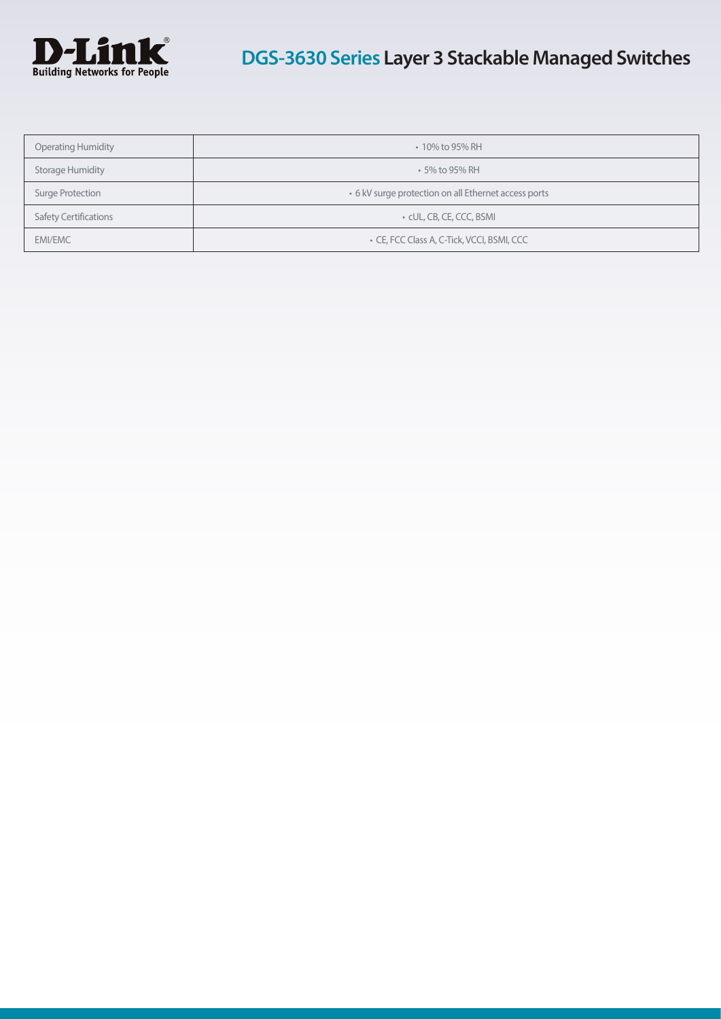

| <b>Operating Humidity</b>    | • 10% to 95% RH                                      |
|------------------------------|------------------------------------------------------|
| <b>Storage Humidity</b>      | $\cdot$ 5% to 95% RH                                 |
| Surge Protection             | • 6 kV surge protection on all Ethernet access ports |
| <b>Safety Certifications</b> | • CUL, CB, CE, CCC, BSMI                             |
| <b>EMI/EMC</b>               | • CE, FCC Class A, C-Tick, VCCI, BSMI, CCC           |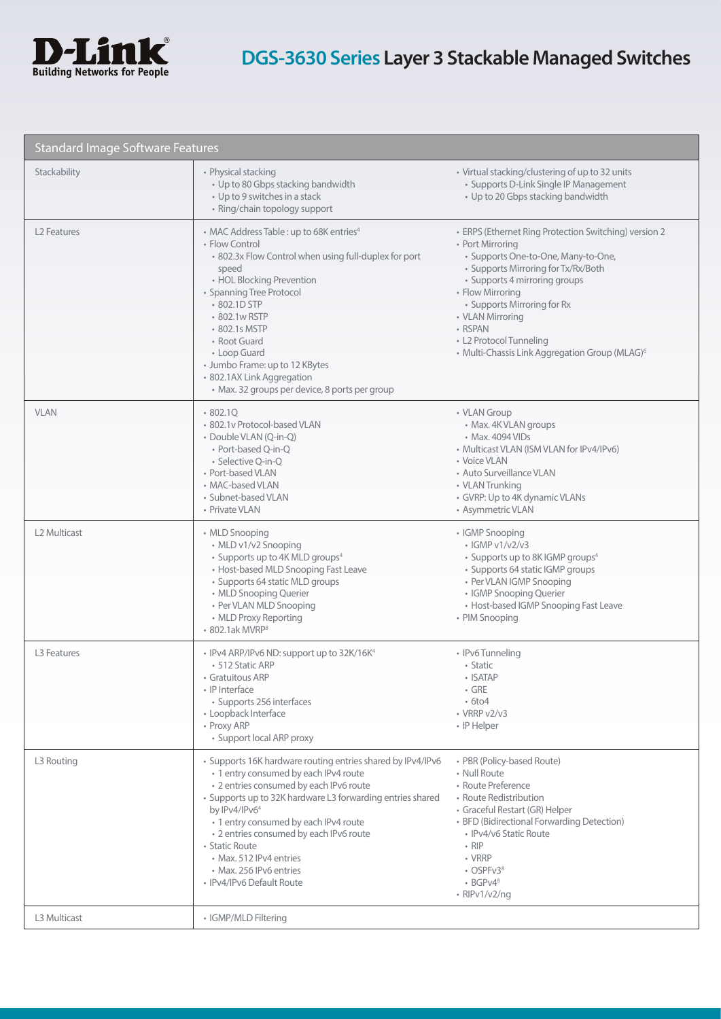

| <b>Standard Image Software Features</b> |                                                                                                                                                                                                                                                                                                                                                                                                                         |                                                                                                                                                                                                                                                                                                                                                                     |
|-----------------------------------------|-------------------------------------------------------------------------------------------------------------------------------------------------------------------------------------------------------------------------------------------------------------------------------------------------------------------------------------------------------------------------------------------------------------------------|---------------------------------------------------------------------------------------------------------------------------------------------------------------------------------------------------------------------------------------------------------------------------------------------------------------------------------------------------------------------|
| Stackability                            | • Physical stacking<br>• Up to 80 Gbps stacking bandwidth<br>• Up to 9 switches in a stack<br>• Ring/chain topology support                                                                                                                                                                                                                                                                                             | • Virtual stacking/clustering of up to 32 units<br>• Supports D-Link Single IP Management<br>• Up to 20 Gbps stacking bandwidth                                                                                                                                                                                                                                     |
| L <sub>2</sub> Features                 | • MAC Address Table : up to 68K entries <sup>4</sup><br>• Flow Control<br>• 802.3x Flow Control when using full-duplex for port<br>speed<br>• HOL Blocking Prevention<br>• Spanning Tree Protocol<br>• 802.1D STP<br>• 802.1w RSTP<br>• 802.1s MSTP<br>• Root Guard<br>• Loop Guard<br>• Jumbo Frame: up to 12 KBytes<br>· 802.1AX Link Aggregation<br>· Max. 32 groups per device, 8 ports per group                   | • ERPS (Ethernet Ring Protection Switching) version 2<br>• Port Mirroring<br>· Supports One-to-One, Many-to-One,<br>• Supports Mirroring for Tx/Rx/Both<br>• Supports 4 mirroring groups<br>• Flow Mirroring<br>• Supports Mirroring for Rx<br>• VLAN Mirroring<br>• RSPAN<br>• L2 Protocol Tunneling<br>• Multi-Chassis Link Aggregation Group (MLAG) <sup>6</sup> |
| <b>VLAN</b>                             | 802.1Q<br>· 802.1v Protocol-based VLAN<br>· Double VLAN (Q-in-Q)<br>• Port-based Q-in-Q<br>• Selective Q-in-Q<br>• Port-based VLAN<br>• MAC-based VLAN<br>• Subnet-based VLAN<br>• Private VLAN                                                                                                                                                                                                                         | • VLAN Group<br>• Max. 4K VLAN groups<br>• Max. 4094 VIDs<br>• Multicast VLAN (ISM VLAN for IPv4/IPv6)<br>• Voice VLAN<br>• Auto Surveillance VLAN<br>• VLAN Trunking<br>• GVRP: Up to 4K dynamic VLANs<br>• Asymmetric VLAN                                                                                                                                        |
| L <sub>2</sub> Multicast                | • MLD Snooping<br>• MLD v1/v2 Snooping<br>• Supports up to 4K MLD groups <sup>4</sup><br>• Host-based MLD Snooping Fast Leave<br>• Supports 64 static MLD groups<br>• MLD Snooping Querier<br>• Per VLAN MLD Snooping<br>• MLD Proxy Reporting<br>• 802.1ak MVRP <sup>8</sup>                                                                                                                                           | • IGMP Snooping<br>$\cdot$ IGMP v1/v2/v3<br>• Supports up to 8K IGMP groups <sup>4</sup><br>• Supports 64 static IGMP groups<br>• Per VLAN IGMP Snooping<br>• IGMP Snooping Querier<br>• Host-based IGMP Snooping Fast Leave<br>• PIM Snooping                                                                                                                      |
| L <sub>3</sub> Features                 | • IPv4 ARP/IPv6 ND: support up to 32K/16K <sup>4</sup><br>• 512 Static ARP<br>• Gratuitous ARP<br>• IP Interface<br>• Supports 256 interfaces<br>• Loopback Interface<br>• Proxy ARP<br>• Support local ARP proxy                                                                                                                                                                                                       | • IPv6 Tunneling<br>• Static<br>$\cdot$ ISATAP<br>$\cdot$ GRE<br>$\cdot$ 6to4<br>$\cdot$ VRRP v2/v3<br>• IP Helper                                                                                                                                                                                                                                                  |
| L3 Routing                              | • Supports 16K hardware routing entries shared by IPv4/IPv6<br>• 1 entry consumed by each IPv4 route<br>• 2 entries consumed by each IPv6 route<br>• Supports up to 32K hardware L3 forwarding entries shared<br>by IPv4/IPv64<br>• 1 entry consumed by each IPv4 route<br>• 2 entries consumed by each IPv6 route<br>• Static Route<br>• Max. 512 IPv4 entries<br>• Max. 256 IPv6 entries<br>• IPv4/IPv6 Default Route | • PBR (Policy-based Route)<br>• Null Route<br>• Route Preference<br>• Route Redistribution<br>• Graceful Restart (GR) Helper<br>• BFD (Bidirectional Forwarding Detection)<br>• IPv4/v6 Static Route<br>$\cdot$ RIP<br>• VRRP<br>$\cdot$ OSPFv3 <sup>8</sup><br>$\cdot$ BGPv4 <sup>8</sup><br>• $RIPv1/v2/nq$                                                       |
| L3 Multicast                            | • IGMP/MLD Filtering                                                                                                                                                                                                                                                                                                                                                                                                    |                                                                                                                                                                                                                                                                                                                                                                     |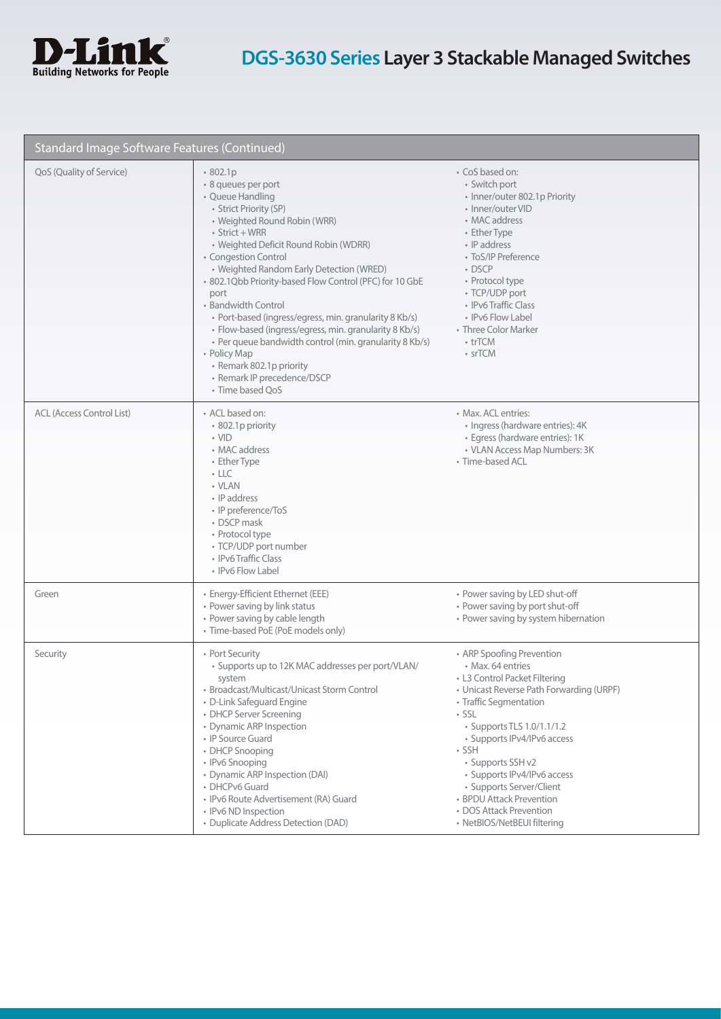

| Standard Image Software Features (Continued) |                                                                                                                                                                                                                                                                                                                                                                                                                                                                                                                                                                                                                          |                                                                                                                                                                                                                                                                                                                                                                                                            |
|----------------------------------------------|--------------------------------------------------------------------------------------------------------------------------------------------------------------------------------------------------------------------------------------------------------------------------------------------------------------------------------------------------------------------------------------------------------------------------------------------------------------------------------------------------------------------------------------------------------------------------------------------------------------------------|------------------------------------------------------------------------------------------------------------------------------------------------------------------------------------------------------------------------------------------------------------------------------------------------------------------------------------------------------------------------------------------------------------|
| QoS (Quality of Service)                     | 802.1p<br>· 8 queues per port<br>• Queue Handling<br>• Strict Priority (SP)<br>• Weighted Round Robin (WRR)<br>$\cdot$ Strict + WRR<br>• Weighted Deficit Round Robin (WDRR)<br>• Congestion Control<br>• Weighted Random Early Detection (WRED)<br>· 802.1Qbb Priority-based Flow Control (PFC) for 10 GbE<br>port<br>• Bandwidth Control<br>• Port-based (ingress/egress, min. granularity 8 Kb/s)<br>· Flow-based (ingress/egress, min. granularity 8 Kb/s)<br>• Per queue bandwidth control (min. granularity 8 Kb/s)<br>• Policy Map<br>• Remark 802.1p priority<br>• Remark IP precedence/DSCP<br>• Time based QoS | • CoS based on:<br>• Switch port<br>• Inner/outer 802.1p Priority<br>• Inner/outer VID<br>• MAC address<br>• Ether Type<br>• IP address<br>• ToS/IP Preference<br>$\cdot$ DSCP<br>• Protocol type<br>• TCP/UDP port<br>• IPv6 Traffic Class<br>• IPv6 Flow Label<br>• Three Color Marker<br>• trTCM<br>• srTCM                                                                                             |
| <b>ACL (Access Control List)</b>             | • ACL based on:<br>• 802.1p priority<br>$\cdot$ VID<br>• MAC address<br>• Ether Type<br>$\cdot$ LLC<br>• VLAN<br>• IP address<br>• IP preference/ToS<br>• DSCP mask<br>• Protocol type<br>• TCP/UDP port number<br>• IPv6 Traffic Class<br>• IPv6 Flow Label                                                                                                                                                                                                                                                                                                                                                             | • Max. ACL entries:<br>· Ingress (hardware entries): 4K<br>· Egress (hardware entries): 1K<br>• VLAN Access Map Numbers: 3K<br>• Time-based ACL                                                                                                                                                                                                                                                            |
| Green                                        | · Energy-Efficient Ethernet (EEE)<br>• Power saving by link status<br>• Power saving by cable length<br>• Time-based PoE (PoE models only)                                                                                                                                                                                                                                                                                                                                                                                                                                                                               | • Power saving by LED shut-off<br>• Power saving by port shut-off<br>• Power saving by system hibernation                                                                                                                                                                                                                                                                                                  |
| Security                                     | • Port Security<br>• Supports up to 12K MAC addresses per port/VLAN/<br>system<br>• Broadcast/Multicast/Unicast Storm Control<br>• D-Link Safeguard Engine<br>• DHCP Server Screening<br>• Dynamic ARP Inspection<br>• IP Source Guard<br>• DHCP Snooping<br>• IPv6 Snooping<br>• Dynamic ARP Inspection (DAI)<br>• DHCPv6 Guard<br>· IPv6 Route Advertisement (RA) Guard<br>• IPv6 ND Inspection<br>• Duplicate Address Detection (DAD)                                                                                                                                                                                 | • ARP Spoofing Prevention<br>• Max. 64 entries<br>• L3 Control Packet Filtering<br>• Unicast Reverse Path Forwarding (URPF)<br>• Traffic Segmentation<br>· SSL<br>• Supports TLS 1.0/1.1/1.2<br>• Supports IPv4/IPv6 access<br>• SSH<br>• Supports SSH v2<br>• Supports IPv4/IPv6 access<br>• Supports Server/Client<br>• BPDU Attack Prevention<br>• DOS Attack Prevention<br>• NetBIOS/NetBEUI filtering |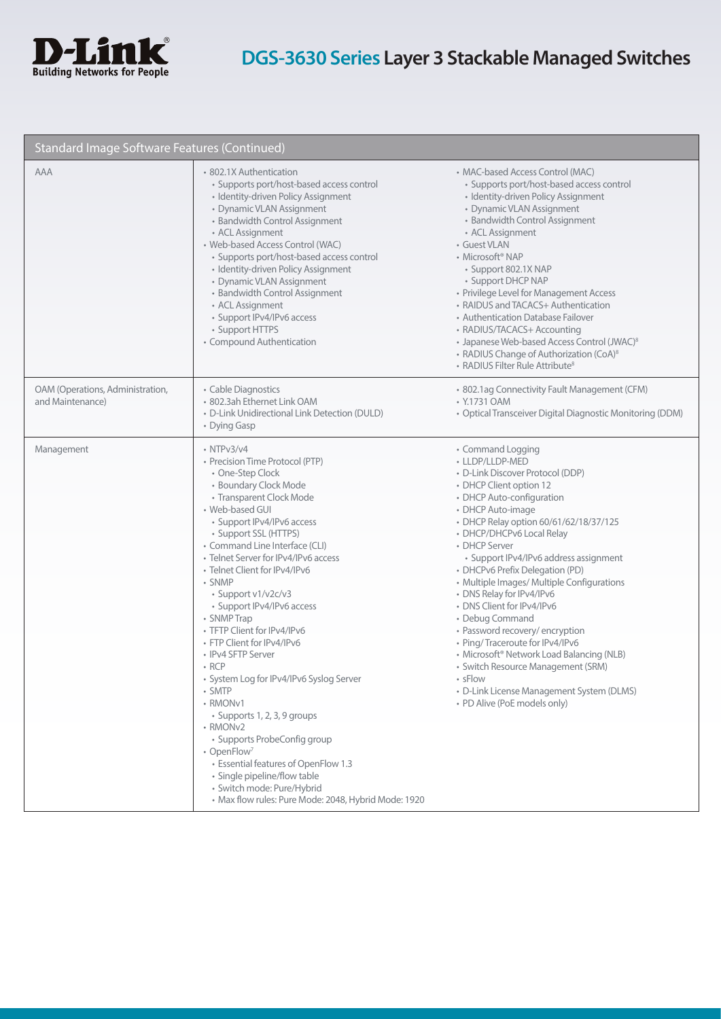

| Standard Image Software Features (Continued)         |                                                                                                                                                                                                                                                                                                                                                                                                                                                                                                                                                                                                                                                                                                                                                                                                                                             |                                                                                                                                                                                                                                                                                                                                                                                                                                                                                                                                                                                                                                                                                                                                            |
|------------------------------------------------------|---------------------------------------------------------------------------------------------------------------------------------------------------------------------------------------------------------------------------------------------------------------------------------------------------------------------------------------------------------------------------------------------------------------------------------------------------------------------------------------------------------------------------------------------------------------------------------------------------------------------------------------------------------------------------------------------------------------------------------------------------------------------------------------------------------------------------------------------|--------------------------------------------------------------------------------------------------------------------------------------------------------------------------------------------------------------------------------------------------------------------------------------------------------------------------------------------------------------------------------------------------------------------------------------------------------------------------------------------------------------------------------------------------------------------------------------------------------------------------------------------------------------------------------------------------------------------------------------------|
| AAA                                                  | • 802.1X Authentication<br>• Supports port/host-based access control<br>· Identity-driven Policy Assignment<br>• Dynamic VLAN Assignment<br>• Bandwidth Control Assignment<br>• ACL Assignment<br>• Web-based Access Control (WAC)<br>• Supports port/host-based access control<br>· Identity-driven Policy Assignment<br>• Dynamic VLAN Assignment<br>• Bandwidth Control Assignment<br>• ACL Assignment<br>• Support IPv4/IPv6 access<br>• Support HTTPS<br>• Compound Authentication                                                                                                                                                                                                                                                                                                                                                     | • MAC-based Access Control (MAC)<br>• Supports port/host-based access control<br>· Identity-driven Policy Assignment<br>• Dynamic VLAN Assignment<br>• Bandwidth Control Assignment<br>• ACL Assignment<br>• Guest VLAN<br>• Microsoft <sup>®</sup> NAP<br>· Support 802.1X NAP<br>• Support DHCP NAP<br>• Privilege Level for Management Access<br>• RAIDUS and TACACS+ Authentication<br>• Authentication Database Failover<br>• RADIUS/TACACS+ Accounting<br>• Japanese Web-based Access Control (JWAC) <sup>8</sup><br>• RADIUS Change of Authorization (CoA) <sup>8</sup><br>• RADIUS Filter Rule Attribute <sup>8</sup>                                                                                                              |
| OAM (Operations, Administration,<br>and Maintenance) | • Cable Diagnostics<br>· 802.3ah Ethernet Link OAM<br>• D-Link Unidirectional Link Detection (DULD)<br>• Dying Gasp                                                                                                                                                                                                                                                                                                                                                                                                                                                                                                                                                                                                                                                                                                                         | · 802.1ag Connectivity Fault Management (CFM)<br>• Y.1731 OAM<br>• Optical Transceiver Digital Diagnostic Monitoring (DDM)                                                                                                                                                                                                                                                                                                                                                                                                                                                                                                                                                                                                                 |
| Management                                           | $\cdot$ NTP $v3/v4$<br>• Precision Time Protocol (PTP)<br>• One-Step Clock<br>• Boundary Clock Mode<br>• Transparent Clock Mode<br>• Web-based GUI<br>• Support IPv4/IPv6 access<br>• Support SSL (HTTPS)<br>• Command Line Interface (CLI)<br>• Telnet Server for IPv4/IPv6 access<br>• Telnet Client for IPv4/IPv6<br>• SNMP<br>• Support v1/v2c/v3<br>• Support IPv4/IPv6 access<br>• SNMP Trap<br>• TFTP Client for IPv4/IPv6<br>• FTP Client for IPv4/IPv6<br>• IPv4 SFTP Server<br>$\cdot$ RCP<br>· System Log for IPv4/IPv6 Syslog Server<br>• SMTP<br>• RMONv1<br>• Supports 1, 2, 3, 9 groups<br>• RMONv2<br>• Supports ProbeConfig group<br>• OpenFlow <sup>7</sup><br>• Essential features of OpenFlow 1.3<br>· Single pipeline/flow table<br>· Switch mode: Pure/Hybrid<br>· Max flow rules: Pure Mode: 2048, Hybrid Mode: 1920 | • Command Logging<br>• LLDP/LLDP-MED<br>• D-Link Discover Protocol (DDP)<br>• DHCP Client option 12<br>• DHCP Auto-configuration<br>• DHCP Auto-image<br>• DHCP Relay option 60/61/62/18/37/125<br>• DHCP/DHCPv6 Local Relay<br>• DHCP Server<br>· Support IPv4/IPv6 address assignment<br>• DHCPv6 Prefix Delegation (PD)<br>• Multiple Images/ Multiple Configurations<br>• DNS Relay for IPv4/IPv6<br>• DNS Client for IPv4/IPv6<br>• Debug Command<br>• Password recovery/ encryption<br>• Ping/Traceroute for IPv4/IPv6<br>• Microsoft <sup>®</sup> Network Load Balancing (NLB)<br>· Switch Resource Management (SRM)<br>$\overline{\phantom{a}}$ sFlow<br>· D-Link License Management System (DLMS)<br>• PD Alive (PoE models only) |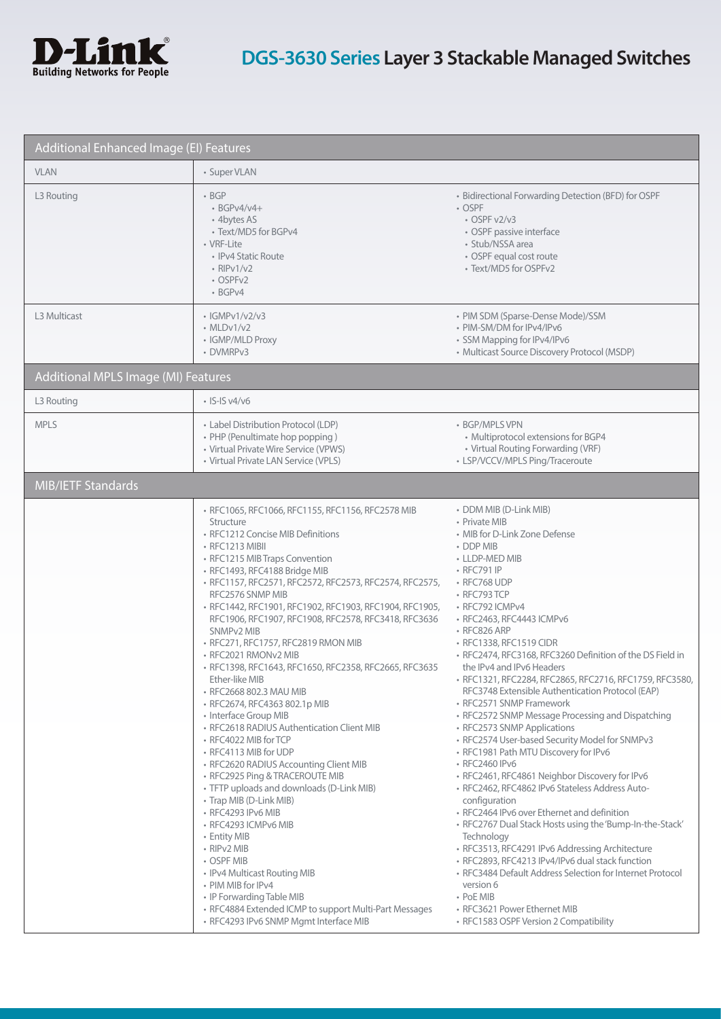

| Additional Enhanced Image (EI) Features |                                                                                                                                                                                                                                                                                                                                                                                                                                                                                                                                                                                                                                                                                                                                                                                                                                                                                                                                                                                                                                                                                                                                                                                  |                                                                                                                                                                                                                                                                                                                                                                                                                                                                                                                                                                                                                                                                                                                                                                                                                                                                                                                                                                                                                                                                                                                                                                                                                |
|-----------------------------------------|----------------------------------------------------------------------------------------------------------------------------------------------------------------------------------------------------------------------------------------------------------------------------------------------------------------------------------------------------------------------------------------------------------------------------------------------------------------------------------------------------------------------------------------------------------------------------------------------------------------------------------------------------------------------------------------------------------------------------------------------------------------------------------------------------------------------------------------------------------------------------------------------------------------------------------------------------------------------------------------------------------------------------------------------------------------------------------------------------------------------------------------------------------------------------------|----------------------------------------------------------------------------------------------------------------------------------------------------------------------------------------------------------------------------------------------------------------------------------------------------------------------------------------------------------------------------------------------------------------------------------------------------------------------------------------------------------------------------------------------------------------------------------------------------------------------------------------------------------------------------------------------------------------------------------------------------------------------------------------------------------------------------------------------------------------------------------------------------------------------------------------------------------------------------------------------------------------------------------------------------------------------------------------------------------------------------------------------------------------------------------------------------------------|
| <b>VLAN</b>                             | • Super VLAN                                                                                                                                                                                                                                                                                                                                                                                                                                                                                                                                                                                                                                                                                                                                                                                                                                                                                                                                                                                                                                                                                                                                                                     |                                                                                                                                                                                                                                                                                                                                                                                                                                                                                                                                                                                                                                                                                                                                                                                                                                                                                                                                                                                                                                                                                                                                                                                                                |
| L3 Routing                              | $\cdot$ BGP<br>$\cdot$ BGPv4/v4+<br>• 4bytes AS<br>• Text/MD5 for BGPv4<br>• VRF-Lite<br>• IPv4 Static Route<br>$\cdot$ RIPv1/v2<br>• OSPFv2<br>· BGPv4                                                                                                                                                                                                                                                                                                                                                                                                                                                                                                                                                                                                                                                                                                                                                                                                                                                                                                                                                                                                                          | • Bidirectional Forwarding Detection (BFD) for OSPF<br>• OSPF<br>$\cdot$ OSPF v2/v3<br>• OSPF passive interface<br>· Stub/NSSA area<br>• OSPF equal cost route<br>• Text/MD5 for OSPFv2                                                                                                                                                                                                                                                                                                                                                                                                                                                                                                                                                                                                                                                                                                                                                                                                                                                                                                                                                                                                                        |
| L3 Multicast                            | $\cdot$ IGMPv1/v2/v3<br>$\cdot$ MLDv1/v2<br>• IGMP/MLD Proxy<br>• DVMRPv3                                                                                                                                                                                                                                                                                                                                                                                                                                                                                                                                                                                                                                                                                                                                                                                                                                                                                                                                                                                                                                                                                                        | • PIM SDM (Sparse-Dense Mode)/SSM<br>• PIM-SM/DM for IPv4/IPv6<br>• SSM Mapping for IPv4/IPv6<br>• Multicast Source Discovery Protocol (MSDP)                                                                                                                                                                                                                                                                                                                                                                                                                                                                                                                                                                                                                                                                                                                                                                                                                                                                                                                                                                                                                                                                  |
| Additional MPLS Image (MI) Features     |                                                                                                                                                                                                                                                                                                                                                                                                                                                                                                                                                                                                                                                                                                                                                                                                                                                                                                                                                                                                                                                                                                                                                                                  |                                                                                                                                                                                                                                                                                                                                                                                                                                                                                                                                                                                                                                                                                                                                                                                                                                                                                                                                                                                                                                                                                                                                                                                                                |
| L3 Routing                              | $\cdot$ IS-IS v4/v6                                                                                                                                                                                                                                                                                                                                                                                                                                                                                                                                                                                                                                                                                                                                                                                                                                                                                                                                                                                                                                                                                                                                                              |                                                                                                                                                                                                                                                                                                                                                                                                                                                                                                                                                                                                                                                                                                                                                                                                                                                                                                                                                                                                                                                                                                                                                                                                                |
| <b>MPLS</b>                             | • Label Distribution Protocol (LDP)<br>• PHP (Penultimate hop popping)<br>• Virtual Private Wire Service (VPWS)<br>• Virtual Private LAN Service (VPLS)                                                                                                                                                                                                                                                                                                                                                                                                                                                                                                                                                                                                                                                                                                                                                                                                                                                                                                                                                                                                                          | • BGP/MPLS VPN<br>• Multiprotocol extensions for BGP4<br>• Virtual Routing Forwarding (VRF)<br>• LSP/VCCV/MPLS Ping/Traceroute                                                                                                                                                                                                                                                                                                                                                                                                                                                                                                                                                                                                                                                                                                                                                                                                                                                                                                                                                                                                                                                                                 |
| MIB/IETF Standards                      |                                                                                                                                                                                                                                                                                                                                                                                                                                                                                                                                                                                                                                                                                                                                                                                                                                                                                                                                                                                                                                                                                                                                                                                  |                                                                                                                                                                                                                                                                                                                                                                                                                                                                                                                                                                                                                                                                                                                                                                                                                                                                                                                                                                                                                                                                                                                                                                                                                |
|                                         | · RFC1065, RFC1066, RFC1155, RFC1156, RFC2578 MIB<br>Structure<br>• RFC1212 Concise MIB Definitions<br>• RFC1213 MIBII<br>• RFC1215 MIB Traps Convention<br>· RFC1493, RFC4188 Bridge MIB<br>· RFC1157, RFC2571, RFC2572, RFC2573, RFC2574, RFC2575,<br>RFC2576 SNMP MIB<br>· RFC1442, RFC1901, RFC1902, RFC1903, RFC1904, RFC1905,<br>RFC1906, RFC1907, RFC1908, RFC2578, RFC3418, RFC3636<br>SNMPv2 MIB<br>• RFC271, RFC1757, RFC2819 RMON MIB<br>• RFC2021 RMONv2 MIB<br>· RFC1398, RFC1643, RFC1650, RFC2358, RFC2665, RFC3635<br>Ether-like MIB<br>· RFC2668 802.3 MAU MIB<br>• RFC2674, RFC4363 802.1p MIB<br>• Interface Group MIB<br>• RFC2618 RADIUS Authentication Client MIB<br>• RFC4022 MIB for TCP<br>• RFC4113 MIB for UDP<br>· RFC2620 RADIUS Accounting Client MIB<br>• RFC2925 Ping & TRACEROUTE MIB<br>• TFTP uploads and downloads (D-Link MIB)<br>• Trap MIB (D-Link MIB)<br>• RFC4293 IPv6 MIB<br>• RFC4293 ICMPv6 MIB<br>• Entity MIB<br>• RIPv2 MIB<br>• OSPF MIB<br>• IPv4 Multicast Routing MIB<br>• PIM MIB for IPv4<br>• IP Forwarding Table MIB<br>• RFC4884 Extended ICMP to support Multi-Part Messages<br>· RFC4293 IPv6 SNMP Mgmt Interface MIB | • DDM MIB (D-Link MIB)<br>• Private MIB<br>• MIB for D-Link Zone Defense<br>• DDP MIB<br>• LLDP-MED MIB<br>• RFC791 IP<br>• RFC768 UDP<br>• RFC793 TCP<br>• RFC792 ICMPv4<br>• RFC2463, RFC4443 ICMPv6<br>• RFC826 ARP<br>• RFC1338, RFC1519 CIDR<br>· RFC2474, RFC3168, RFC3260 Definition of the DS Field in<br>the IPv4 and IPv6 Headers<br>· RFC1321, RFC2284, RFC2865, RFC2716, RFC1759, RFC3580,<br>RFC3748 Extensible Authentication Protocol (EAP)<br>• RFC2571 SNMP Framework<br>• RFC2572 SNMP Message Processing and Dispatching<br>• RFC2573 SNMP Applications<br>• RFC2574 User-based Security Model for SNMPv3<br>• RFC1981 Path MTU Discovery for IPv6<br>• RFC2460 IPv6<br>· RFC2461, RFC4861 Neighbor Discovery for IPv6<br>· RFC2462, RFC4862 IPv6 Stateless Address Auto-<br>configuration<br>• RFC2464 IPv6 over Ethernet and definition<br>• RFC2767 Dual Stack Hosts using the 'Bump-In-the-Stack'<br>Technology<br>· RFC3513, RFC4291 IPv6 Addressing Architecture<br>· RFC2893, RFC4213 IPv4/IPv6 dual stack function<br>• RFC3484 Default Address Selection for Internet Protocol<br>version 6<br>• PoE MIB<br>• RFC3621 Power Ethernet MIB<br>• RFC1583 OSPF Version 2 Compatibility |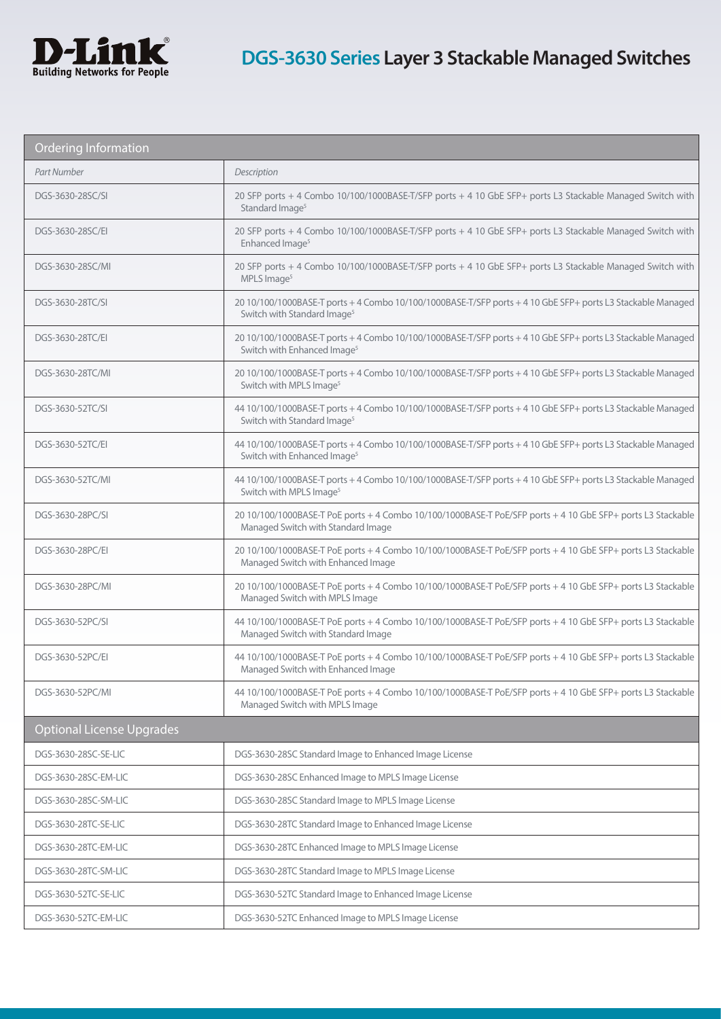

| <b>Ordering Information</b>      |                                                                                                                                                        |  |
|----------------------------------|--------------------------------------------------------------------------------------------------------------------------------------------------------|--|
| Part Number                      | Description                                                                                                                                            |  |
| DGS-3630-28SC/SI                 | 20 SFP ports + 4 Combo 10/100/1000BASE-T/SFP ports + 4 10 GbE SFP+ ports L3 Stackable Managed Switch with<br>Standard Image <sup>5</sup>               |  |
| DGS-3630-28SC/EI                 | 20 SFP ports + 4 Combo 10/100/1000BASE-T/SFP ports + 4 10 GbE SFP+ ports L3 Stackable Managed Switch with<br>Enhanced Image <sup>5</sup>               |  |
| DGS-3630-28SC/MI                 | 20 SFP ports + 4 Combo 10/100/1000BASE-T/SFP ports + 4 10 GbE SFP+ ports L3 Stackable Managed Switch with<br>MPLS Image <sup>5</sup>                   |  |
| DGS-3630-28TC/SI                 | 20 10/100/1000BASE-T ports + 4 Combo 10/100/1000BASE-T/SFP ports + 4 10 GbE SFP+ ports L3 Stackable Managed<br>Switch with Standard Image <sup>5</sup> |  |
| DGS-3630-28TC/EI                 | 20 10/100/1000BASE-T ports + 4 Combo 10/100/1000BASE-T/SFP ports + 4 10 GbE SFP+ ports L3 Stackable Managed<br>Switch with Enhanced Image <sup>5</sup> |  |
| DGS-3630-28TC/MI                 | 20 10/100/1000BASE-T ports + 4 Combo 10/100/1000BASE-T/SFP ports + 4 10 GbE SFP+ ports L3 Stackable Managed<br>Switch with MPLS Image <sup>5</sup>     |  |
| DGS-3630-52TC/SI                 | 44 10/100/1000BASE-T ports + 4 Combo 10/100/1000BASE-T/SFP ports + 4 10 GbE SFP+ ports L3 Stackable Managed<br>Switch with Standard Image <sup>5</sup> |  |
| DGS-3630-52TC/EI                 | 44 10/100/1000BASE-T ports + 4 Combo 10/100/1000BASE-T/SFP ports + 4 10 GbE SFP+ ports L3 Stackable Managed<br>Switch with Enhanced Image <sup>5</sup> |  |
| DGS-3630-52TC/MI                 | 44 10/100/1000BASE-T ports + 4 Combo 10/100/1000BASE-T/SFP ports + 4 10 GbE SFP+ ports L3 Stackable Managed<br>Switch with MPLS Image <sup>5</sup>     |  |
| DGS-3630-28PC/SI                 | 20 10/100/1000BASE-T PoE ports + 4 Combo 10/100/1000BASE-T PoE/SFP ports + 4 10 GbE SFP+ ports L3 Stackable<br>Managed Switch with Standard Image      |  |
| DGS-3630-28PC/EI                 | 20 10/100/1000BASE-T PoE ports + 4 Combo 10/100/1000BASE-T PoE/SFP ports + 4 10 GbE SFP+ ports L3 Stackable<br>Managed Switch with Enhanced Image      |  |
| DGS-3630-28PC/MI                 | 20 10/100/1000BASE-T PoE ports + 4 Combo 10/100/1000BASE-T PoE/SFP ports + 4 10 GbE SFP+ ports L3 Stackable<br>Managed Switch with MPLS Image          |  |
| DGS-3630-52PC/SI                 | 44 10/100/1000BASE-T PoE ports + 4 Combo 10/100/1000BASE-T PoE/SFP ports + 4 10 GbE SFP+ ports L3 Stackable<br>Managed Switch with Standard Image      |  |
| DGS-3630-52PC/EI                 | 44 10/100/1000BASE-T PoE ports + 4 Combo 10/100/1000BASE-T PoE/SFP ports + 4 10 GbE SFP+ ports L3 Stackable<br>Managed Switch with Enhanced Image      |  |
| DGS-3630-52PC/MI                 | 44 10/100/1000BASE-T PoE ports + 4 Combo 10/100/1000BASE-T PoE/SFP ports + 4 10 GbE SFP+ ports L3 Stackable<br>Managed Switch with MPLS Image          |  |
| <b>Optional License Upgrades</b> |                                                                                                                                                        |  |
| DGS-3630-28SC-SE-LIC             | DGS-3630-28SC Standard Image to Enhanced Image License                                                                                                 |  |
| DGS-3630-28SC-EM-LIC             | DGS-3630-28SC Enhanced Image to MPLS Image License                                                                                                     |  |
| DGS-3630-28SC-SM-LIC             | DGS-3630-28SC Standard Image to MPLS Image License                                                                                                     |  |
| DGS-3630-28TC-SE-LIC             | DGS-3630-28TC Standard Image to Enhanced Image License                                                                                                 |  |
| DGS-3630-28TC-EM-LIC             | DGS-3630-28TC Enhanced Image to MPLS Image License                                                                                                     |  |
| DGS-3630-28TC-SM-LIC             | DGS-3630-28TC Standard Image to MPLS Image License                                                                                                     |  |
| DGS-3630-52TC-SE-LIC             | DGS-3630-52TC Standard Image to Enhanced Image License                                                                                                 |  |
| DGS-3630-52TC-EM-LIC             | DGS-3630-52TC Enhanced Image to MPLS Image License                                                                                                     |  |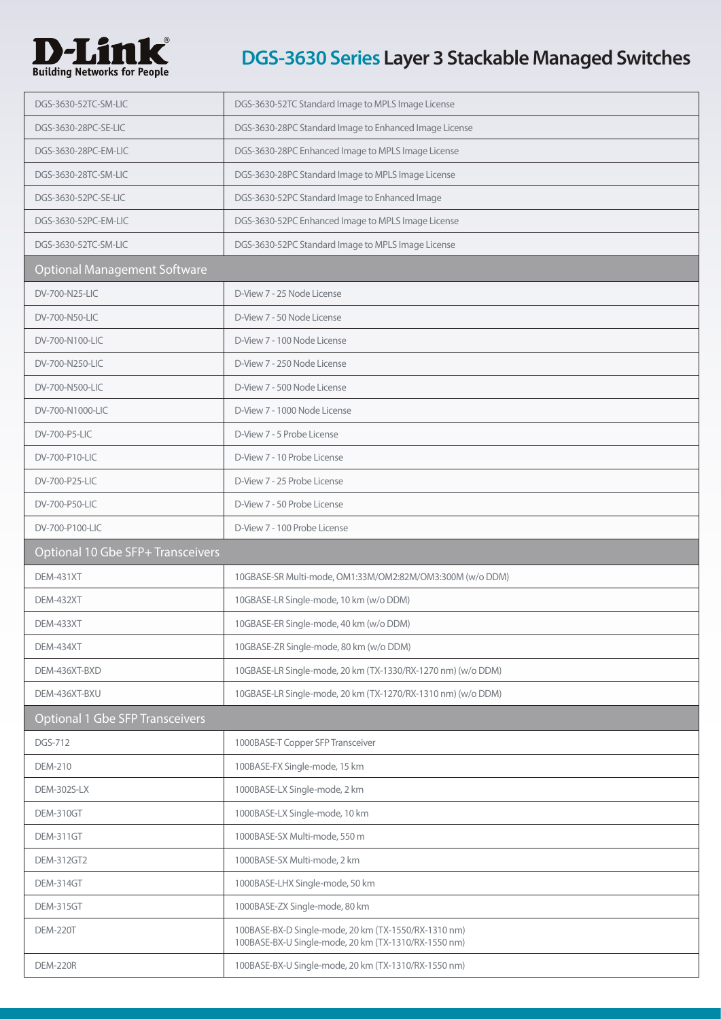

| DGS-3630-52TC-SM-LIC                   | DGS-3630-52TC Standard Image to MPLS Image License                                                           |
|----------------------------------------|--------------------------------------------------------------------------------------------------------------|
| DGS-3630-28PC-SE-LIC                   | DGS-3630-28PC Standard Image to Enhanced Image License                                                       |
| DGS-3630-28PC-EM-LIC                   | DGS-3630-28PC Enhanced Image to MPLS Image License                                                           |
| DGS-3630-28TC-SM-LIC                   | DGS-3630-28PC Standard Image to MPLS Image License                                                           |
| DGS-3630-52PC-SE-LIC                   | DGS-3630-52PC Standard Image to Enhanced Image                                                               |
| DGS-3630-52PC-EM-LIC                   | DGS-3630-52PC Enhanced Image to MPLS Image License                                                           |
| DGS-3630-52TC-SM-LIC                   | DGS-3630-52PC Standard Image to MPLS Image License                                                           |
| <b>Optional Management Software</b>    |                                                                                                              |
| DV-700-N25-LIC                         | D-View 7 - 25 Node License                                                                                   |
| DV-700-N50-LIC                         | D-View 7 - 50 Node License                                                                                   |
| DV-700-N100-LIC                        | D-View 7 - 100 Node License                                                                                  |
| DV-700-N250-LIC                        | D-View 7 - 250 Node License                                                                                  |
| DV-700-N500-LIC                        | D-View 7 - 500 Node License                                                                                  |
| DV-700-N1000-LIC                       | D-View 7 - 1000 Node License                                                                                 |
| DV-700-P5-LIC                          | D-View 7 - 5 Probe License                                                                                   |
| DV-700-P10-LIC                         | D-View 7 - 10 Probe License                                                                                  |
| DV-700-P25-LIC                         | D-View 7 - 25 Probe License                                                                                  |
| DV-700-P50-LIC                         | D-View 7 - 50 Probe License                                                                                  |
| DV-700-P100-LIC                        | D-View 7 - 100 Probe License                                                                                 |
|                                        |                                                                                                              |
| Optional 10 Gbe SFP+ Transceivers      |                                                                                                              |
| <b>DEM-431XT</b>                       | 10GBASE-SR Multi-mode, OM1:33M/OM2:82M/OM3:300M (w/o DDM)                                                    |
| DEM-432XT                              | 10GBASE-LR Single-mode, 10 km (w/o DDM)                                                                      |
| <b>DEM-433XT</b>                       | 10GBASE-ER Single-mode, 40 km (w/o DDM)                                                                      |
| DEM-434XT                              | 10GBASE-ZR Single-mode, 80 km (w/o DDM)                                                                      |
| DEM-436XT-BXD                          | 10GBASE-LR Single-mode, 20 km (TX-1330/RX-1270 nm) (w/o DDM)                                                 |
| DEM-436XT-BXU                          | 10GBASE-LR Single-mode, 20 km (TX-1270/RX-1310 nm) (w/o DDM)                                                 |
| <b>Optional 1 Gbe SFP Transceivers</b> |                                                                                                              |
| DGS-712                                | 1000BASE-T Copper SFP Transceiver                                                                            |
| <b>DEM-210</b>                         | 100BASE-FX Single-mode, 15 km                                                                                |
| DEM-302S-LX                            | 1000BASE-LX Single-mode, 2 km                                                                                |
| DEM-310GT                              | 1000BASE-LX Single-mode, 10 km                                                                               |
| DEM-311GT                              | 1000BASE-SX Multi-mode, 550 m                                                                                |
| <b>DEM-312GT2</b>                      | 1000BASE-SX Multi-mode, 2 km                                                                                 |
| DEM-314GT                              | 1000BASE-LHX Single-mode, 50 km                                                                              |
| DEM-315GT                              | 1000BASE-ZX Single-mode, 80 km                                                                               |
| <b>DEM-220T</b>                        | 100BASE-BX-D Single-mode, 20 km (TX-1550/RX-1310 nm)<br>100BASE-BX-U Single-mode, 20 km (TX-1310/RX-1550 nm) |